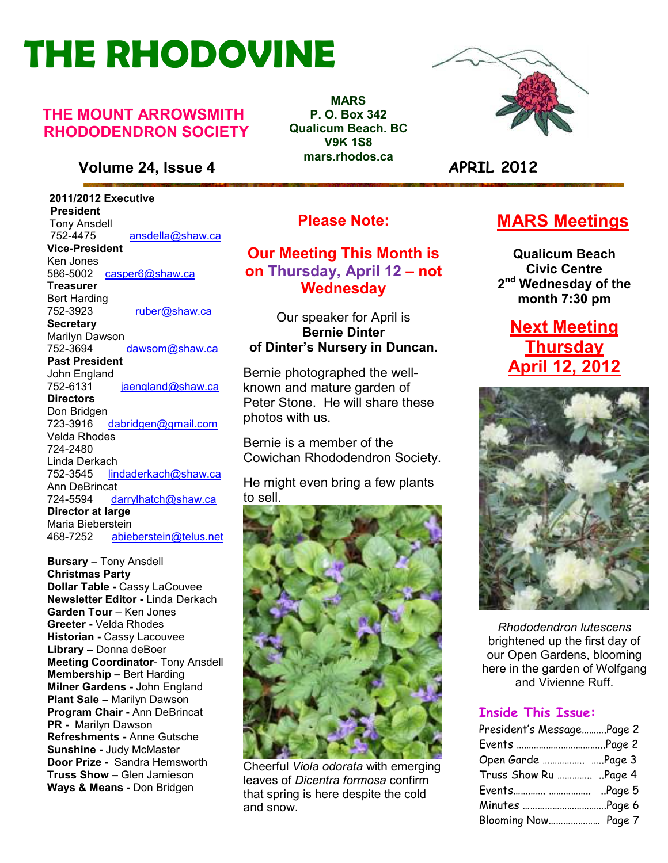# **THE RHODOVINE**

#### **THE MOUNT ARROWSMITH RHODODENDRON SOCIETY**

#### **Volume 24, Issue 4 APRIL 2012**

 **2011/2012 Executive President**  Tony Ansdell<br>752-4475 752-4475 ansdella@shaw.ca **Vice-President**  Ken Jones 586-5002casper6@shaw.ca **Treasurer**  Bert Harding<br>752-3923 ruber@shaw.ca **Secretary** Marilyn Dawson 752-3694 dawsom@shaw.ca **Past President**  John England<br>752-6131 jaengland@shaw.ca **Directors**  Don Bridgen 723-3916 dabridgen@gmail.com Velda Rhodes 724-2480 Linda Derkach 752-3545 lindaderkach@shaw.ca Ann DeBrincat 724-5594 darrylhatch@shaw.ca **Director at large**  Maria Bieberstein 468-7252 abieberstein@telus.net

**Refreshments -** Anne Gutsche **Bursary** – Tony Ansdell **Christmas Party Dollar Table -** Cassy LaCouvee **Newsletter Editor -** Linda Derkach **Garden Tour** – Ken Jones **Greeter -** Velda Rhodes **Historian -** Cassy Lacouvee **Library –** Donna deBoer **Meeting Coordinator**- Tony Ansdell **Membership –** Bert Harding **Milner Gardens -** John England **Plant Sale –** Marilyn Dawson **Program Chair -** Ann DeBrincat **PR -** Marilyn Dawson **Sunshine -** Judy McMaster **Door Prize -** Sandra Hemsworth **Truss Show –** Glen Jamieson **Ways & Means -** Don Bridgen

**MARS P. O. Box 342 Qualicum Beach. BC V9K 1S8 mars.rhodos.ca** 



#### **Please Note:**

#### **Our Meeting This Month is on Thursday, April 12 – not Wednesday**

Our speaker for April is **Bernie Dinter of Dinter's Nursery in Duncan.** 

Bernie photographed the wellknown and mature garden of Peter Stone. He will share these photos with us.

Bernie is a member of the Cowichan Rhododendron Society.

He might even bring a few plants to sell.



Cheerful *Viola odorata* with emerging leaves of *Dicentra formosa* confirm that spring is here despite the cold and snow.

### **MARS Meetings**

**Qualicum Beach Civic Centre 2 nd Wednesday of the month 7:30 pm** 

**Next Meeting Thursday April 12, 2012** 



*Rhododendron lutescens*  brightened up the first day of our Open Gardens, blooming here in the garden of Wolfgang and Vivienne Ruff.

#### **Inside This Issue:**

| President's MessagePage 2 |  |
|---------------------------|--|
|                           |  |
| Open Garde  Page 3        |  |
| Truss Show Ru  Page 4     |  |
|                           |  |
|                           |  |
| Blooming Now Page 7       |  |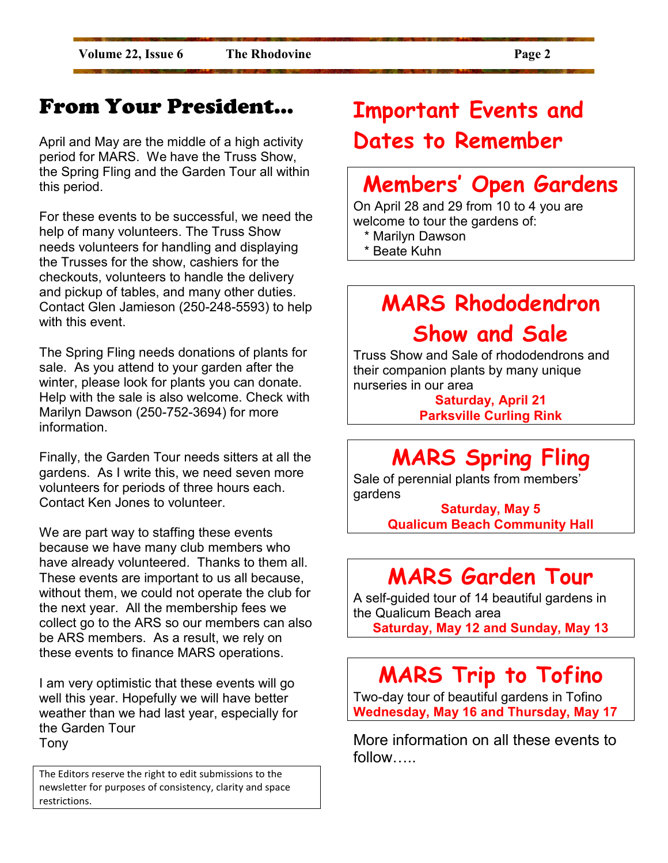### From Your President…

April and May are the middle of a high activity period for MARS. We have the Truss Show, the Spring Fling and the Garden Tour all within this period.

For these events to be successful, we need the help of many volunteers. The Truss Show needs volunteers for handling and displaying the Trusses for the show, cashiers for the checkouts, volunteers to handle the delivery and pickup of tables, and many other duties. Contact Glen Jamieson (250-248-5593) to help with this event.

The Spring Fling needs donations of plants for sale. As you attend to your garden after the winter, please look for plants you can donate. Help with the sale is also welcome. Check with Marilyn Dawson (250-752-3694) for more information.

Finally, the Garden Tour needs sitters at all the gardens. As I write this, we need seven more volunteers for periods of three hours each. Contact Ken Jones to volunteer.

We are part way to staffing these events because we have many club members who have already volunteered. Thanks to them all. These events are important to us all because, without them, we could not operate the club for the next year. All the membership fees we collect go to the ARS so our members can also be ARS members. As a result, we rely on these events to finance MARS operations.

I am very optimistic that these events will go well this year. Hopefully we will have better weather than we had last year, especially for the Garden Tour Tony

The Editors reserve the right to edit submissions to the newsletter for purposes of consistency, clarity and space restrictions.

# **Important Events and Dates to Remember**

# **Members' Open Gardens**

On April 28 and 29 from 10 to 4 you are welcome to tour the gardens of:

- \* Marilyn Dawson
- \* Beate Kuhn

# **MARS Rhododendron Show and Sale**

Truss Show and Sale of rhododendrons and their companion plants by many unique nurseries in our area

> **Saturday, April 21 Parksville Curling Rink**

# **MARS Spring Fling**

Sale of perennial plants from members' gardens

> **Saturday, May 5 Qualicum Beach Community Hall**

### **MARS Garden Tour**

A self-guided tour of 14 beautiful gardens in the Qualicum Beach area **Saturday, May 12 and Sunday, May 13** 

# **MARS Trip to Tofino**

Two-day tour of beautiful gardens in Tofino **Wednesday, May 16 and Thursday, May 17** 

More information on all these events to follow....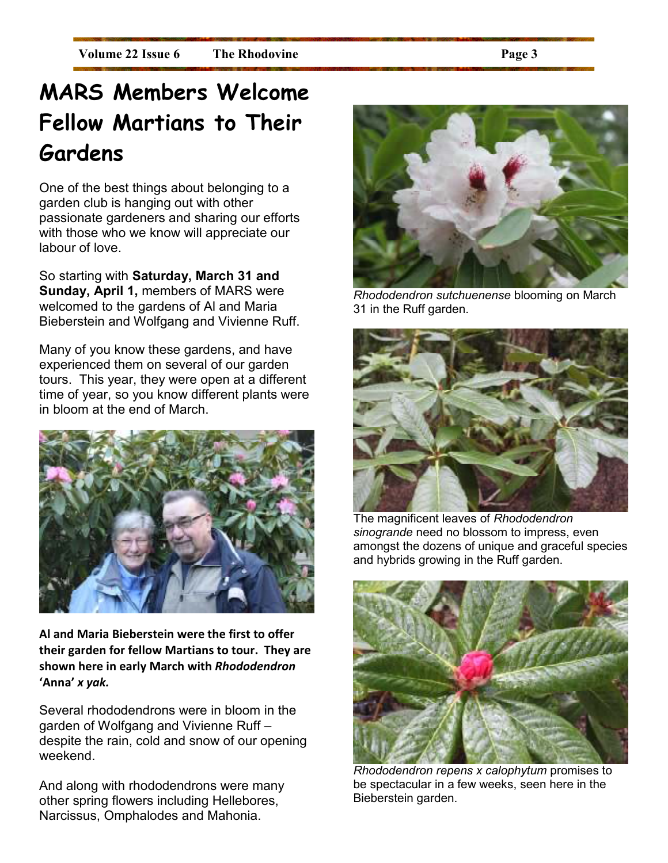# **MARS Members Welcome Fellow Martians to Their Gardens**

One of the best things about belonging to a garden club is hanging out with other passionate gardeners and sharing our efforts with those who we know will appreciate our labour of love.

So starting with **Saturday, March 31 and Sunday, April 1,** members of MARS were welcomed to the gardens of Al and Maria Bieberstein and Wolfgang and Vivienne Ruff.

Many of you know these gardens, and have experienced them on several of our garden tours. This year, they were open at a different time of year, so you know different plants were in bloom at the end of March.



**Al and Maria Bieberstein were the first to offer their garden for fellow Martians to tour. They are shown here in early March with** *Rhododendron* **'Anna'** *x yak.* 

Several rhododendrons were in bloom in the garden of Wolfgang and Vivienne Ruff – despite the rain, cold and snow of our opening weekend.

And along with rhododendrons were many other spring flowers including Hellebores, Narcissus, Omphalodes and Mahonia.



*Rhododendron sutchuenense* blooming on March 31 in the Ruff garden.



The magnificent leaves of *Rhododendron sinogrande* need no blossom to impress, even amongst the dozens of unique and graceful species and hybrids growing in the Ruff garden.



*Rhododendron repens x calophytum* promises to be spectacular in a few weeks, seen here in the Bieberstein garden.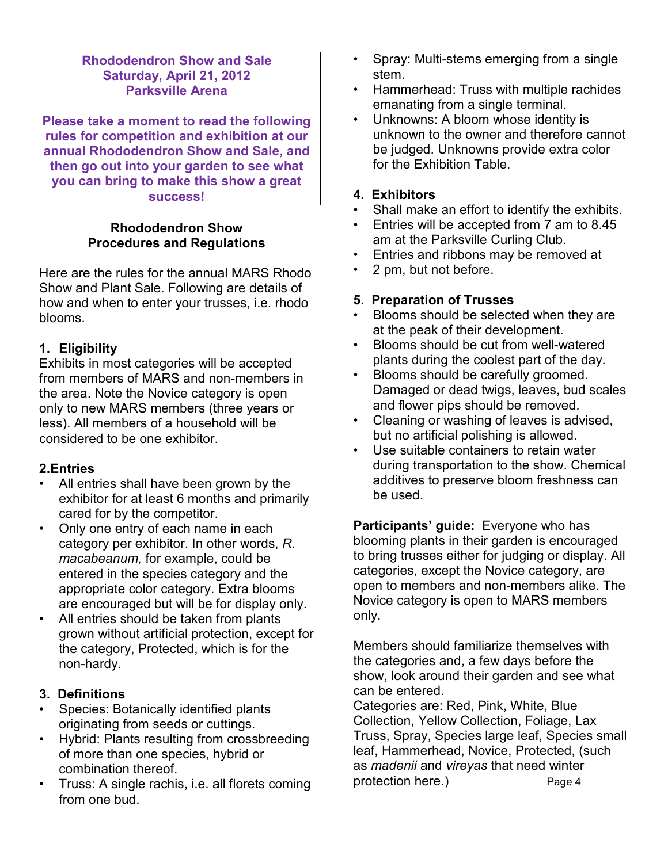#### **Rhododendron Show and Sale Saturday, April 21, 2012 Parksville Arena**

**Please take a moment to read the following rules for competition and exhibition at our annual Rhododendron Show and Sale, and then go out into your garden to see what you can bring to make this show a great success!** 

#### **Rhododendron Show Procedures and Regulations**

Here are the rules for the annual MARS Rhodo Show and Plant Sale. Following are details of how and when to enter your trusses, i.e. rhodo blooms.

#### **1. Eligibility**

Exhibits in most categories will be accepted from members of MARS and non-members in the area. Note the Novice category is open only to new MARS members (three years or less). All members of a household will be considered to be one exhibitor.

#### **2.Entries**

- All entries shall have been grown by the exhibitor for at least 6 months and primarily cared for by the competitor.
- Only one entry of each name in each category per exhibitor. In other words, *R. macabeanum,* for example, could be entered in the species category and the appropriate color category. Extra blooms are encouraged but will be for display only.
- All entries should be taken from plants grown without artificial protection, except for the category, Protected, which is for the non-hardy.

#### **3. Definitions**

- Species: Botanically identified plants originating from seeds or cuttings.
- Hybrid: Plants resulting from crossbreeding of more than one species, hybrid or combination thereof.
- Truss: A single rachis, i.e. all florets coming from one bud.
- Spray: Multi-stems emerging from a single stem.
- Hammerhead: Truss with multiple rachides emanating from a single terminal.
- Unknowns: A bloom whose identity is unknown to the owner and therefore cannot be judged. Unknowns provide extra color for the Exhibition Table.

#### **4. Exhibitors**

- Shall make an effort to identify the exhibits.
- Entries will be accepted from 7 am to 8.45 am at the Parksville Curling Club.
- Entries and ribbons may be removed at
- 2 pm, but not before.

#### **5. Preparation of Trusses**

- Blooms should be selected when they are at the peak of their development.
- Blooms should be cut from well-watered plants during the coolest part of the day.
- Blooms should be carefully groomed. Damaged or dead twigs, leaves, bud scales and flower pips should be removed.
- Cleaning or washing of leaves is advised, but no artificial polishing is allowed.
- Use suitable containers to retain water during transportation to the show. Chemical additives to preserve bloom freshness can be used.

**Participants' guide:** Everyone who has blooming plants in their garden is encouraged to bring trusses either for judging or display. All categories, except the Novice category, are open to members and non-members alike. The Novice category is open to MARS members only.

Members should familiarize themselves with the categories and, a few days before the show, look around their garden and see what can be entered.

Categories are: Red, Pink, White, Blue Collection, Yellow Collection, Foliage, Lax Truss, Spray, Species large leaf, Species small leaf, Hammerhead, Novice, Protected, (such as *madenii* and *vireyas* that need winter protection here.) Page 4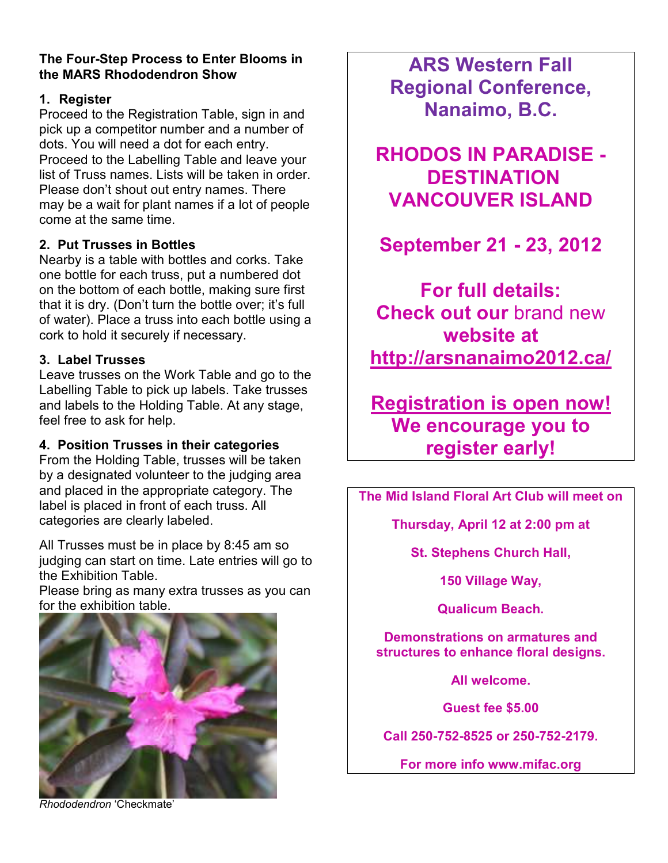#### **The Four-Step Process to Enter Blooms in the MARS Rhododendron Show**

#### **1. Register**

Proceed to the Registration Table, sign in and pick up a competitor number and a number of dots. You will need a dot for each entry. Proceed to the Labelling Table and leave your list of Truss names. Lists will be taken in order. Please don't shout out entry names. There may be a wait for plant names if a lot of people come at the same time.

#### **2. Put Trusses in Bottles**

Nearby is a table with bottles and corks. Take one bottle for each truss, put a numbered dot on the bottom of each bottle, making sure first that it is dry. (Don't turn the bottle over; it's full of water). Place a truss into each bottle using a cork to hold it securely if necessary.

#### **3. Label Trusses**

Leave trusses on the Work Table and go to the Labelling Table to pick up labels. Take trusses and labels to the Holding Table. At any stage, feel free to ask for help.

#### **4. Position Trusses in their categories**

From the Holding Table, trusses will be taken by a designated volunteer to the judging area and placed in the appropriate category. The label is placed in front of each truss. All categories are clearly labeled.

All Trusses must be in place by 8:45 am so judging can start on time. Late entries will go to the Exhibition Table.

Please bring as many extra trusses as you can for the exhibition table.



*Rhododendron* 'Checkmate'

**ARS Western Fall Regional Conference, Nanaimo, B.C.** 

**RHODOS IN PARADISE - DESTINATION VANCOUVER ISLAND** 

**September 21 - 23, 2012** 

**For full details: Check out our** brand new **website at http://arsnanaimo2012.ca/** 

**Registration is open now! We encourage you to register early!** 

**The Mid Island Floral Art Club will meet on** 

**Thursday, April 12 at 2:00 pm at** 

**St. Stephens Church Hall,** 

**150 Village Way,** 

**Qualicum Beach.** 

**Demonstrations on armatures and structures to enhance floral designs.** 

**All welcome.** 

**Guest fee \$5.00** 

**Call 250-752-8525 or 250-752-2179.** 

**For more info www.mifac.org**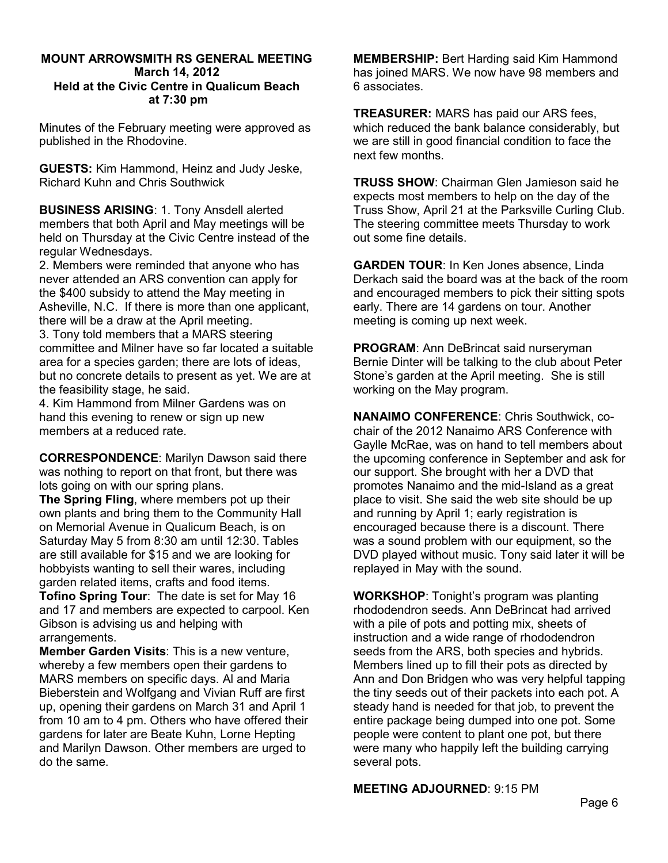#### **MOUNT ARROWSMITH RS GENERAL MEETING March 14, 2012 Held at the Civic Centre in Qualicum Beach at 7:30 pm**

Minutes of the February meeting were approved as published in the Rhodovine.

**GUESTS:** Kim Hammond, Heinz and Judy Jeske, Richard Kuhn and Chris Southwick

**BUSINESS ARISING**: 1. Tony Ansdell alerted members that both April and May meetings will be held on Thursday at the Civic Centre instead of the regular Wednesdays.

2. Members were reminded that anyone who has never attended an ARS convention can apply for the \$400 subsidy to attend the May meeting in Asheville, N.C. If there is more than one applicant, there will be a draw at the April meeting.

3. Tony told members that a MARS steering committee and Milner have so far located a suitable area for a species garden; there are lots of ideas, but no concrete details to present as yet. We are at the feasibility stage, he said.

4. Kim Hammond from Milner Gardens was on hand this evening to renew or sign up new members at a reduced rate.

**CORRESPONDENCE**: Marilyn Dawson said there was nothing to report on that front, but there was lots going on with our spring plans.

**The Spring Fling**, where members pot up their own plants and bring them to the Community Hall on Memorial Avenue in Qualicum Beach, is on Saturday May 5 from 8:30 am until 12:30. Tables are still available for \$15 and we are looking for hobbyists wanting to sell their wares, including garden related items, crafts and food items. **Tofino Spring Tour**: The date is set for May 16 and 17 and members are expected to carpool. Ken

Gibson is advising us and helping with arrangements.

**Member Garden Visits**: This is a new venture, whereby a few members open their gardens to MARS members on specific days. Al and Maria Bieberstein and Wolfgang and Vivian Ruff are first up, opening their gardens on March 31 and April 1 from 10 am to 4 pm. Others who have offered their gardens for later are Beate Kuhn, Lorne Hepting and Marilyn Dawson. Other members are urged to do the same.

**MEMBERSHIP:** Bert Harding said Kim Hammond has joined MARS. We now have 98 members and 6 associates.

**TREASURER:** MARS has paid our ARS fees, which reduced the bank balance considerably, but we are still in good financial condition to face the next few months.

**TRUSS SHOW**: Chairman Glen Jamieson said he expects most members to help on the day of the Truss Show, April 21 at the Parksville Curling Club. The steering committee meets Thursday to work out some fine details.

**GARDEN TOUR**: In Ken Jones absence, Linda Derkach said the board was at the back of the room and encouraged members to pick their sitting spots early. There are 14 gardens on tour. Another meeting is coming up next week.

**PROGRAM**: Ann DeBrincat said nurseryman Bernie Dinter will be talking to the club about Peter Stone's garden at the April meeting. She is still working on the May program.

**NANAIMO CONFERENCE**: Chris Southwick, cochair of the 2012 Nanaimo ARS Conference with Gaylle McRae, was on hand to tell members about the upcoming conference in September and ask for our support. She brought with her a DVD that promotes Nanaimo and the mid-Island as a great place to visit. She said the web site should be up and running by April 1; early registration is encouraged because there is a discount. There was a sound problem with our equipment, so the DVD played without music. Tony said later it will be replayed in May with the sound.

**WORKSHOP**: Tonight's program was planting rhododendron seeds. Ann DeBrincat had arrived with a pile of pots and potting mix, sheets of instruction and a wide range of rhododendron seeds from the ARS, both species and hybrids. Members lined up to fill their pots as directed by Ann and Don Bridgen who was very helpful tapping the tiny seeds out of their packets into each pot. A steady hand is needed for that job, to prevent the entire package being dumped into one pot. Some people were content to plant one pot, but there were many who happily left the building carrying several pots.

**MEETING ADJOURNED**: 9:15 PM